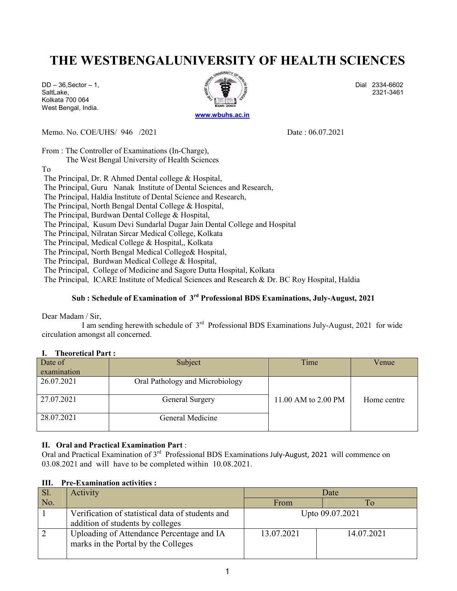# THE WESTBENGALUNIVERSITY OF HEALTH SCIENCES

Kolkata 700 064 West Bengal, India.



Memo. No. COE/UHS/ 946 /2021 Date : 06.07.2021

From : The Controller of Examinations (In-Charge),

The West Bengal University of Health Sciences

To

The Principal, Dr. R Ahmed Dental college & Hospital,

The Principal, Guru Nanak Institute of Dental Sciences and Research,

The Principal, Haldia Institute of Dental Science and Research,

The Principal, North Bengal Dental College & Hospital,

The Principal, Burdwan Dental College & Hospital,

The Principal, Kusum Devi Sundarlal Dugar Jain Dental College and Hospital

The Principal, Nilratan Sircar Medical College, Kolkata

The Principal, Medical College & Hospital,, Kolkata

The Principal, North Bengal Medical College& Hospital,

The Principal, Burdwan Medical College & Hospital,

The Principal, College of Medicine and Sagore Dutta Hospital, Kolkata

The Principal, ICARE Institute of Medical Sciences and Research & Dr. BC Roy Hospital, Haldia

### Sub : Schedule of Examination of  $3<sup>rd</sup>$  Professional BDS Examinations, July-August, 2021

Dear Madam / Sir,

I am sending herewith schedule of  $3<sup>rd</sup>$  Professional BDS Examinations July-August, 2021 for wide circulation amongst all concerned.

#### I. Theoretical Part :

| Date of     | Subject                         | Time                | Venue       |
|-------------|---------------------------------|---------------------|-------------|
| examination |                                 |                     |             |
| 26.07.2021  | Oral Pathology and Microbiology |                     |             |
| 27.07.2021  | General Surgery                 | 11.00 AM to 2.00 PM | Home centre |
| 28.07.2021  | General Medicine                |                     |             |

### II. Oral and Practical Examination Part :

Oral and Practical Examination of 3<sup>rd</sup> Professional BDS Examinations July-August, 2021 will commence on 03.08.2021 and will have to be completed within 10.08.2021.

|  |  |  | III. Pre-Examination activities : |  |
|--|--|--|-----------------------------------|--|
|--|--|--|-----------------------------------|--|

| Sl. | <b>Activity</b>                                                                      | Date            |            |  |
|-----|--------------------------------------------------------------------------------------|-----------------|------------|--|
| No. |                                                                                      | From            |            |  |
|     | Verification of statistical data of students and<br>addition of students by colleges | Upto 09.07.2021 |            |  |
|     | Uploading of Attendance Percentage and IA<br>marks in the Portal by the Colleges     | 13.07.2021      | 14.07.2021 |  |